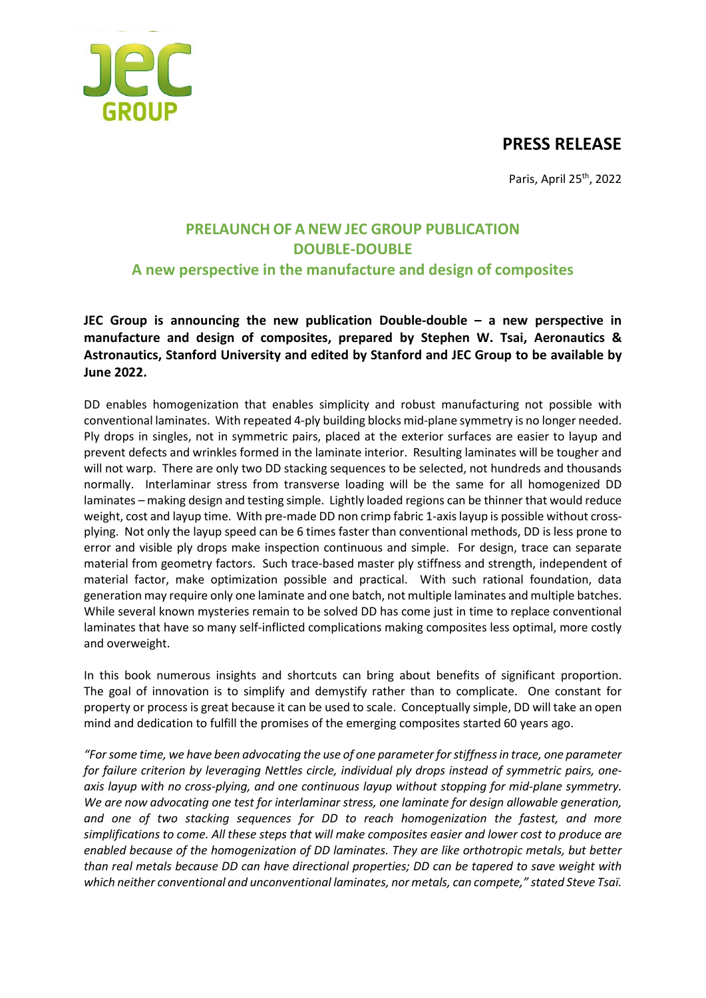## **PRESS RELEASE**



Paris, April 25<sup>th</sup>, 2022

# **PRELAUNCH OF A NEW JEC GROUP PUBLICATION DOUBLE-DOUBLE A new perspective in the manufacture and design of composites**

**JEC Group is announcing the new publication Double-double – a new perspective in manufacture and design of composites, prepared by Stephen W. Tsai, Aeronautics & Astronautics, Stanford University and edited by Stanford and JEC Group to be available by June 2022.**

DD enables homogenization that enables simplicity and robust manufacturing not possible with conventional laminates. With repeated 4-ply building blocks mid-plane symmetry is no longer needed. Ply drops in singles, not in symmetric pairs, placed at the exterior surfaces are easier to layup and prevent defects and wrinkles formed in the laminate interior. Resulting laminates will be tougher and will not warp. There are only two DD stacking sequences to be selected, not hundreds and thousands normally. Interlaminar stress from transverse loading will be the same for all homogenized DD laminates – making design and testing simple. Lightly loaded regions can be thinner that would reduce weight, cost and layup time. With pre-made DD non crimp fabric 1-axislayup is possible without crossplying. Not only the layup speed can be 6 times faster than conventional methods, DD is less prone to error and visible ply drops make inspection continuous and simple. For design, trace can separate material from geometry factors. Such trace-based master ply stiffness and strength, independent of material factor, make optimization possible and practical. With such rational foundation, data generation may require only one laminate and one batch, not multiple laminates and multiple batches. While several known mysteries remain to be solved DD has come just in time to replace conventional laminates that have so many self-inflicted complications making composites less optimal, more costly and overweight.

In this book numerous insights and shortcuts can bring about benefits of significant proportion. The goal of innovation is to simplify and demystify rather than to complicate. One constant for property or process is great because it can be used to scale. Conceptually simple, DD will take an open mind and dedication to fulfill the promises of the emerging composites started 60 years ago.

*"For some time, we have been advocating the use of one parameter for stiffness in trace, one parameter for failure criterion by leveraging Nettles circle, individual ply drops instead of symmetric pairs, oneaxis layup with no cross-plying, and one continuous layup without stopping for mid-plane symmetry. We are now advocating one test for interlaminar stress, one laminate for design allowable generation, and one of two stacking sequences for DD to reach homogenization the fastest, and more simplifications to come. All these steps that will make composites easier and lower cost to produce are enabled because of the homogenization of DD laminates. They are like orthotropic metals, but better than real metals because DD can have directional properties; DD can be tapered to save weight with which neither conventional and unconventional laminates, nor metals, can compete," stated Steve Tsaï.*